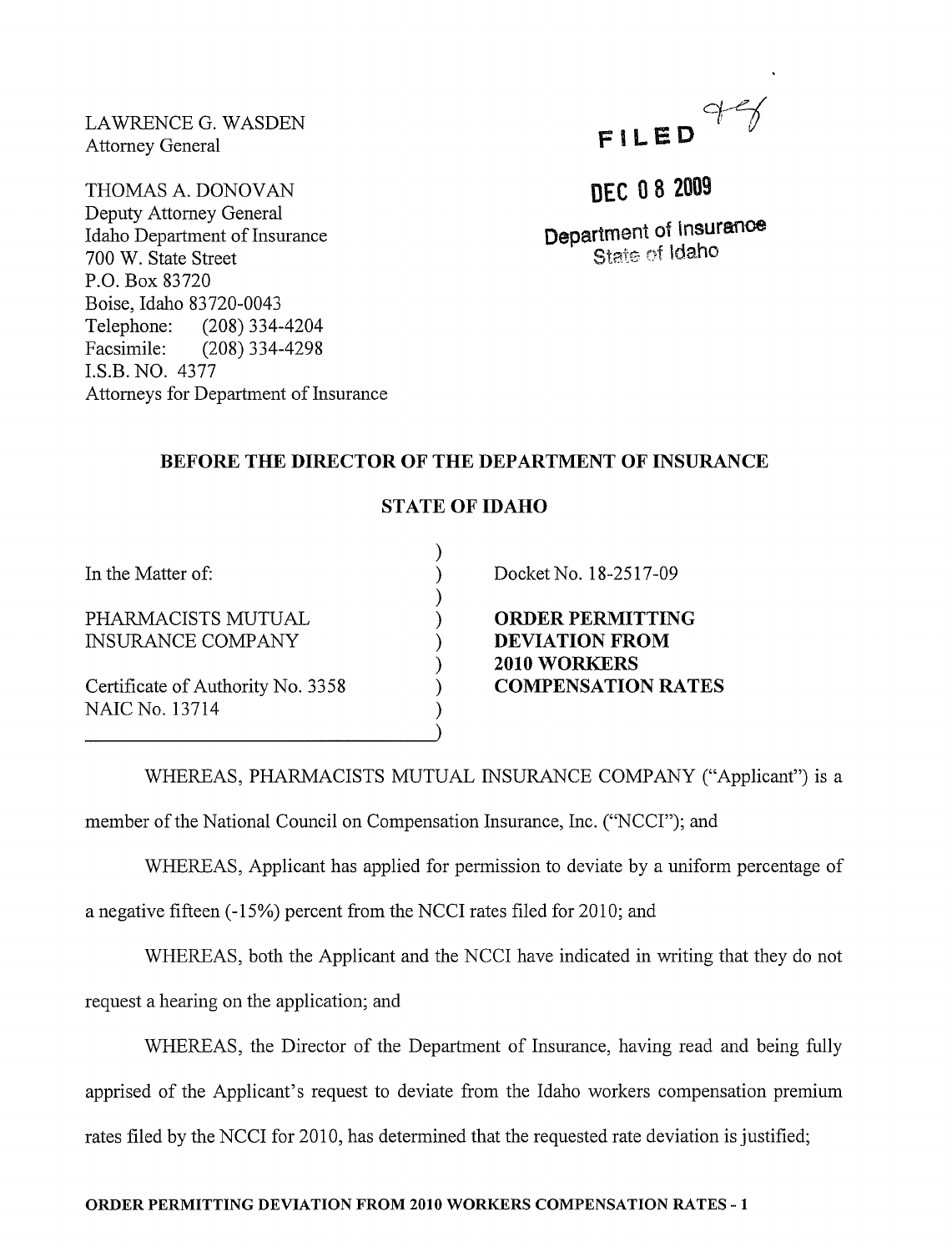LAWRENCE G. WASDEN Attorney General

THOMAS A. DONOVAN Deputy Attorney General Idaho Department of Insurance 700 W. State Street P.O. Box 83720 Boise, Idaho 83720-0043 Telephone: (208) 334-4204 Facsimile: (208) 334-4298 I.S.B. NO. 4377 Attorneys for Department of Insurance



# DEC 08 2009

Department of Insurance State of Idaho

## BEFORE THE DIRECTOR OF THE DEPARTMENT OF INSURANCE

### STATE OF IDAHO

) ) ) ) ) ) ) ) )

In the Matter of:

PHARMACISTS MUTUAL INSURANCE COMPANY

Certificate of Authority No. 3358 NAIC No. 13714

Docket No. 18-2517-09

ORDER PERMITTING DEVIATION FROM 2010 WORKERS COMPENSATION RATES

WHEREAS, PHARMACISTS MUTUAL INSURANCE COMPANY ("Applicant") is a member of the National Council on Compensation Insurance, Inc. ("NCCI"); and

WHEREAS, Applicant has applied for permission to deviate by a uniform percentage of

a negative fifteen (-15%) percent from the NCCI rates filed for 2010; and

WHEREAS, both the Applicant and the NCCI have indicated in writing that they do not

request a hearing on the application; and

WHEREAS, the Director of the Department of Insurance, having read and being fully apprised of the Applicant's request to deviate from the Idaho workers compensation premium rates filed by the NCCI for 2010, has determined that the requested rate deviation is justified;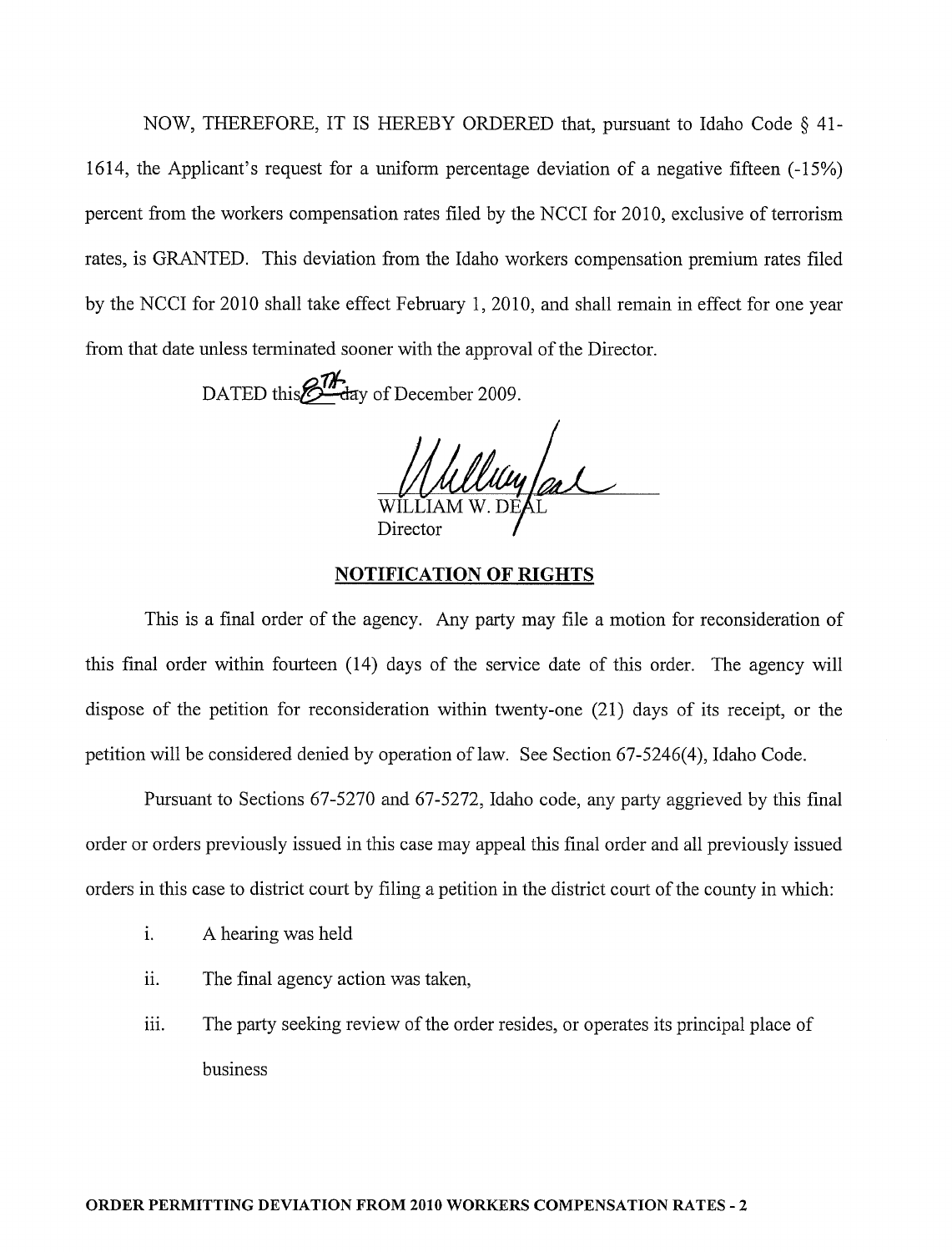NOW, THEREFORE, IT IS HEREBY ORDERED that, pursuant to Idaho Code § 41- 1614, the Applicant's request for a uniform percentage deviation of a negative fifteen (-15%) percent from the workers compensation rates filed by the NCCI for 2010, exclusive of terrorism rates, is GRANTED. This deviation from the Idaho workers compensation premium rates filed by the NCCI for 2010 shall take effect February 1,2010, and shall remain in effect for one year from that date unless terminated sooner with the approval of the Director.

DATED this  $\mathcal{O}^{\pi}$  day of December 2009.

<u>Maylas</u> Director

#### **NOTIFICATION OF RIGHTS**

This is a final order of the agency. Any party may file a motion for reconsideration of this final order within fourteen (14) days of the service date of this order. The agency will dispose of the petition for reconsideration within twenty-one (21) days of its receipt, or the petition will be considered denied by operation oflaw. See Section 67-5246(4), Idaho Code.

Pursuant to Sections 67-5270 and 67-5272, Idaho code, any party aggrieved by this final order or orders previously issued in this case may appeal this final order and all previously issued orders in this case to district court by filing a petition in the district court of the county in which:

- 1. A hearing was held
- ii. The final agency action was taken,
- iii. The party seeking review of the order resides, or operates its principal place of business